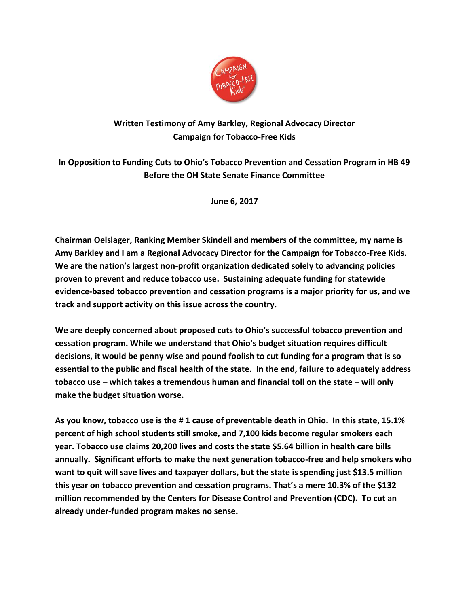

## **Written Testimony of Amy Barkley, Regional Advocacy Director Campaign for Tobacco-Free Kids**

**In Opposition to Funding Cuts to Ohio's Tobacco Prevention and Cessation Program in HB 49 Before the OH State Senate Finance Committee**

**June 6, 2017**

**Chairman Oelslager, Ranking Member Skindell and members of the committee, my name is Amy Barkley and I am a Regional Advocacy Director for the Campaign for Tobacco-Free Kids. We are the nation's largest non-profit organization dedicated solely to advancing policies proven to prevent and reduce tobacco use. Sustaining adequate funding for statewide evidence-based tobacco prevention and cessation programs is a major priority for us, and we track and support activity on this issue across the country.** 

**We are deeply concerned about proposed cuts to Ohio's successful tobacco prevention and cessation program. While we understand that Ohio's budget situation requires difficult decisions, it would be penny wise and pound foolish to cut funding for a program that is so essential to the public and fiscal health of the state. In the end, failure to adequately address tobacco use – which takes a tremendous human and financial toll on the state – will only make the budget situation worse.** 

**As you know, tobacco use is the # 1 cause of preventable death in Ohio. In this state, 15.1% percent of high school students still smoke, and 7,100 kids become regular smokers each year. Tobacco use claims 20,200 lives and costs the state \$5.64 billion in health care bills annually. Significant efforts to make the next generation tobacco-free and help smokers who want to quit will save lives and taxpayer dollars, but the state is spending just \$13.5 million this year on tobacco prevention and cessation programs. That's a mere 10.3% of the \$132 million recommended by the Centers for Disease Control and Prevention (CDC). To cut an already under-funded program makes no sense.**